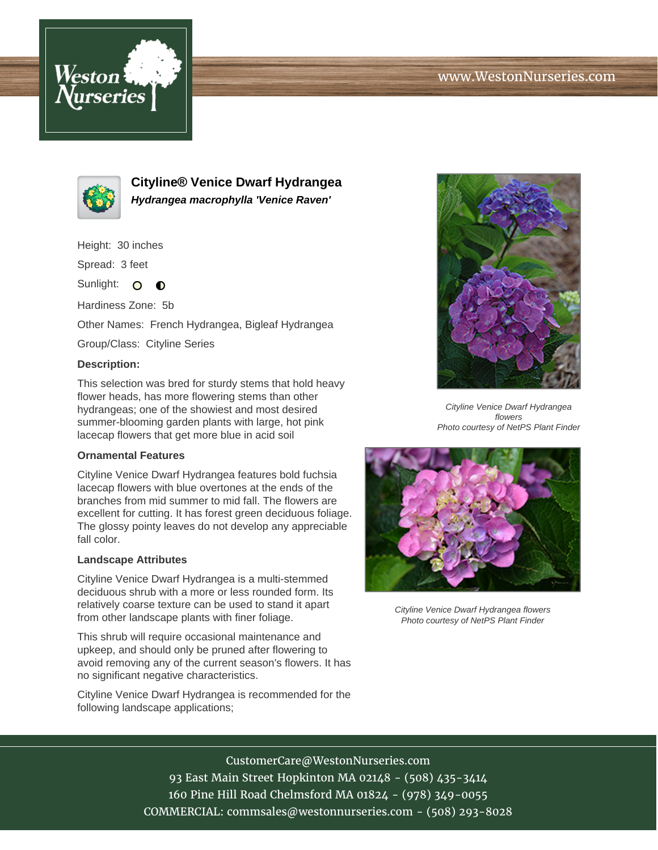



**Cityline® Venice Dwarf Hydrangea Hydrangea macrophylla 'Venice Raven'**

Height: 30 inches

Spread: 3 feet

Sunlight: O  $\bullet$ 

Hardiness Zone: 5b

Other Names: French Hydrangea, Bigleaf Hydrangea

Group/Class: Cityline Series

#### **Description:**

This selection was bred for sturdy stems that hold heavy flower heads, has more flowering stems than other hydrangeas; one of the showiest and most desired summer-blooming garden plants with large, hot pink lacecap flowers that get more blue in acid soil

### **Ornamental Features**

Cityline Venice Dwarf Hydrangea features bold fuchsia lacecap flowers with blue overtones at the ends of the branches from mid summer to mid fall. The flowers are excellent for cutting. It has forest green deciduous foliage. The glossy pointy leaves do not develop any appreciable fall color.

#### **Landscape Attributes**

Cityline Venice Dwarf Hydrangea is a multi-stemmed deciduous shrub with a more or less rounded form. Its relatively coarse texture can be used to stand it apart from other landscape plants with finer foliage.

This shrub will require occasional maintenance and upkeep, and should only be pruned after flowering to avoid removing any of the current season's flowers. It has no significant negative characteristics.

Cityline Venice Dwarf Hydrangea is recommended for the following landscape applications;



Cityline Venice Dwarf Hydrangea flowers Photo courtesy of NetPS Plant Finder



Cityline Venice Dwarf Hydrangea flowers Photo courtesy of NetPS Plant Finder

# CustomerCare@WestonNurseries.com

93 East Main Street Hopkinton MA 02148 - (508) 435-3414 160 Pine Hill Road Chelmsford MA 01824 - (978) 349-0055 COMMERCIAL: commsales@westonnurseries.com - (508) 293-8028